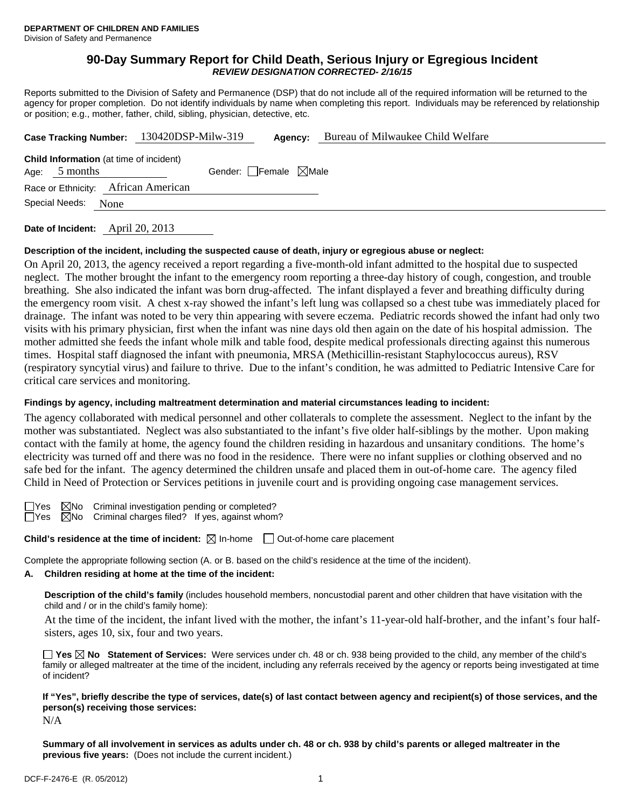### **90-Day Summary Report for Child Death, Serious Injury or Egregious Incident**  *REVIEW DESIGNATION CORRECTED- 2/16/15*

Reports submitted to the Division of Safety and Permanence (DSP) that do not include all of the required information will be returned to the agency for proper completion. Do not identify individuals by name when completing this report. Individuals may be referenced by relationship or position; e.g., mother, father, child, sibling, physician, detective, etc.

|                                                                   | Case Tracking Number: 130420DSP-Milw-319 | Agency:                         | Bureau of Milwaukee Child Welfare |
|-------------------------------------------------------------------|------------------------------------------|---------------------------------|-----------------------------------|
| <b>Child Information</b> (at time of incident)<br>Age: $5$ months |                                          | Gender: Female $\boxtimes$ Male |                                   |
| Race or Ethnicity: African American                               |                                          |                                 |                                   |
| Special Needs: None                                               |                                          |                                 |                                   |
|                                                                   |                                          |                                 |                                   |

**Date of Incident:** April 20, 2013

## **Description of the incident, including the suspected cause of death, injury or egregious abuse or neglect:**

On April 20, 2013, the agency received a report regarding a five-month-old infant admitted to the hospital due to suspected neglect. The mother brought the infant to the emergency room reporting a three-day history of cough, congestion, and trouble breathing. She also indicated the infant was born drug-affected. The infant displayed a fever and breathing difficulty during the emergency room visit. A chest x-ray showed the infant's left lung was collapsed so a chest tube was immediately placed for drainage. The infant was noted to be very thin appearing with severe eczema. Pediatric records showed the infant had only two visits with his primary physician, first when the infant was nine days old then again on the date of his hospital admission. The mother admitted she feeds the infant whole milk and table food, despite medical professionals directing against this numerous times. Hospital staff diagnosed the infant with pneumonia, MRSA (Methicillin-resistant Staphylococcus aureus), RSV (respiratory syncytial virus) and failure to thrive. Due to the infant's condition, he was admitted to Pediatric Intensive Care for critical care services and monitoring.

### **Findings by agency, including maltreatment determination and material circumstances leading to incident:**

The agency collaborated with medical personnel and other collaterals to complete the assessment. Neglect to the infant by the mother was substantiated. Neglect was also substantiated to the infant's five older half-siblings by the mother. Upon making contact with the family at home, the agency found the children residing in hazardous and unsanitary conditions. The home's electricity was turned off and there was no food in the residence. There were no infant supplies or clothing observed and no safe bed for the infant. The agency determined the children unsafe and placed them in out-of-home care. The agency filed Child in Need of Protection or Services petitions in juvenile court and is providing ongoing case management services.

 $\Box$ Yes  $\Box$ No Criminal investigation pending or completed?  $\Box$ Yes  $\Box$ No Criminal charges filed? If yes, against whom  $\boxtimes$ No Criminal charges filed? If yes, against whom?

**Child's residence at the time of incident:** ⊠ In-home □ Out-of-home care placement

Complete the appropriate following section (A. or B. based on the child's residence at the time of the incident).

# **A. Children residing at home at the time of the incident:**

**Description of the child's family** (includes household members, noncustodial parent and other children that have visitation with the child and / or in the child's family home):

 At the time of the incident, the infant lived with the mother, the infant's 11-year-old half-brother, and the infant's four halfsisters, ages 10, six, four and two years.

**Yes No Statement of Services:** Were services under ch. 48 or ch. 938 being provided to the child, any member of the child's family or alleged maltreater at the time of the incident, including any referrals received by the agency or reports being investigated at time of incident?

# **If "Yes", briefly describe the type of services, date(s) of last contact between agency and recipient(s) of those services, and the person(s) receiving those services:**

N/A

**Summary of all involvement in services as adults under ch. 48 or ch. 938 by child's parents or alleged maltreater in the previous five years:** (Does not include the current incident.)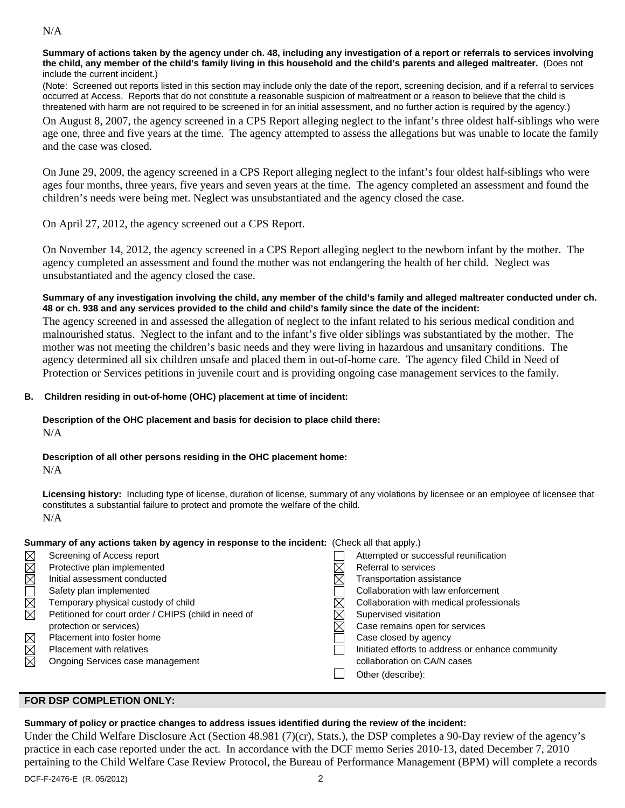### N/A

**Summary of actions taken by the agency under ch. 48, including any investigation of a report or referrals to services involving the child, any member of the child's family living in this household and the child's parents and alleged maltreater.** (Does not include the current incident.)

(Note: Screened out reports listed in this section may include only the date of the report, screening decision, and if a referral to services occurred at Access. Reports that do not constitute a reasonable suspicion of maltreatment or a reason to believe that the child is threatened with harm are not required to be screened in for an initial assessment, and no further action is required by the agency.)

On August 8, 2007, the agency screened in a CPS Report alleging neglect to the infant's three oldest half-siblings who were age one, three and five years at the time. The agency attempted to assess the allegations but was unable to locate the family and the case was closed.

On June 29, 2009, the agency screened in a CPS Report alleging neglect to the infant's four oldest half-siblings who were ages four months, three years, five years and seven years at the time. The agency completed an assessment and found the children's needs were being met. Neglect was unsubstantiated and the agency closed the case.

On April 27, 2012, the agency screened out a CPS Report.

On November 14, 2012, the agency screened in a CPS Report alleging neglect to the newborn infant by the mother. The agency completed an assessment and found the mother was not endangering the health of her child. Neglect was unsubstantiated and the agency closed the case.

### **Summary of any investigation involving the child, any member of the child's family and alleged maltreater conducted under ch. 48 or ch. 938 and any services provided to the child and child's family since the date of the incident:**

The agency screened in and assessed the allegation of neglect to the infant related to his serious medical condition and malnourished status. Neglect to the infant and to the infant's five older siblings was substantiated by the mother. The mother was not meeting the children's basic needs and they were living in hazardous and unsanitary conditions. The agency determined all six children unsafe and placed them in out-of-home care. The agency filed Child in Need of Protection or Services petitions in juvenile court and is providing ongoing case management services to the family.

## **B. Children residing in out-of-home (OHC) placement at time of incident:**

# **Description of the OHC placement and basis for decision to place child there:**

N/A

#### **Description of all other persons residing in the OHC placement home:** N/A

**Licensing history:** Including type of license, duration of license, summary of any violations by licensee or an employee of licensee that constitutes a substantial failure to protect and promote the welfare of the child. N/A

|        | Summary of any actions taken by agency in response to the incident: (Check all that apply.) |                                                   |
|--------|---------------------------------------------------------------------------------------------|---------------------------------------------------|
|        | Screening of Access report                                                                  | Attempted or successful reunification             |
|        | Protective plan implemented                                                                 | Referral to services                              |
|        | Initial assessment conducted                                                                | Transportation assistance                         |
| MMOMMM | Safety plan implemented                                                                     | Collaboration with law enforcement                |
|        | Temporary physical custody of child                                                         | Collaboration with medical professionals          |
|        | Petitioned for court order / CHIPS (child in need of                                        | Supervised visitation                             |
|        | protection or services)                                                                     | Case remains open for services                    |
|        | Placement into foster home                                                                  | Case closed by agency                             |
|        | <b>Placement with relatives</b>                                                             | Initiated efforts to address or enhance community |
| MMM    | Ongoing Services case management                                                            | collaboration on CA/N cases                       |
|        |                                                                                             | Other (describe):                                 |

#### **FOR DSP COMPLETION ONLY:**

## **Summary of policy or practice changes to address issues identified during the review of the incident:**

Under the Child Welfare Disclosure Act (Section 48.981 (7)(cr), Stats.), the DSP completes a 90-Day review of the agency's practice in each case reported under the act. In accordance with the DCF memo Series 2010-13, dated December 7, 2010 pertaining to the Child Welfare Case Review Protocol, the Bureau of Performance Management (BPM) will complete a records